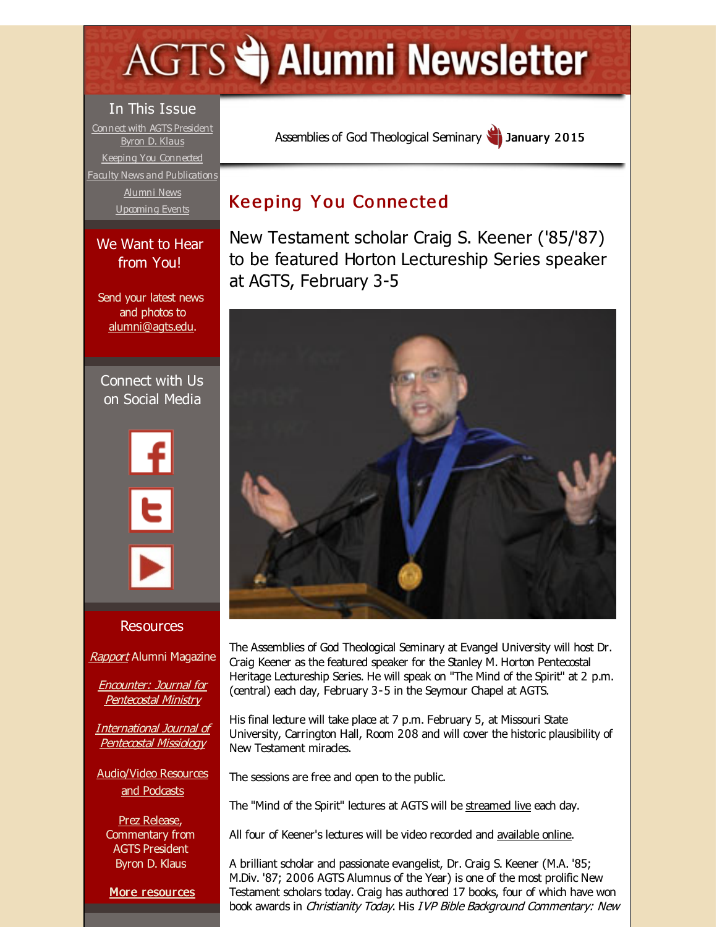# <span id="page-0-0"></span>**AGTS Statement Newsletter**

### In This Issue

Connect with AGTS [President](#page-0-0) Byron D. Klaus Keeping You [Connected](#page-0-0) Faculty News and [Publications](#page-0-0) [Alumni](#page-0-0) News [Upcoming](#page-0-0) Events

#### We Want to Hear from You!

Send your latest news and photos to [alumni@agts.edu](mailto:alumni@agts.edu).

Connect with Us on Social Media



#### **Resources**

[Rapport](http://r20.rs6.net/tn.jsp?f=001zazWM7RQlFbV10nQLsq7MOLGoLQ08WWsWNKaQxTaWP9rsExe4C2yGkR5awkSDaELHmBaUeCLCibFgW2zsS8wqSrFSSIKMM5VTXXeCTxBQ-F5Pcbhkz1175t98OVQTmLv_VALlSDLCemgBVvQdNXtlH9r_Ov2MHXv2UpaJWPzlwXhJKACObSN9iuY2mjPa8t4&c=&ch=) Alumni Magazine

Encounter: Journal for [Pentecostal](http://r20.rs6.net/tn.jsp?f=001zazWM7RQlFbV10nQLsq7MOLGoLQ08WWsWNKaQxTaWP9rsExe4C2yGgxLgfUskKKkF7pUozxAywrgsqCkS5QDt7VkARlQrgxOFygSI5VXL5w62YfS2qL1pKRly-uCqTOUIweDo00Hj7wU40kDUQ6_igXTySEsL-tuPzY0B3OZ_bc-NMuYOGwZJo56yukXvB-r&c=&ch=) Ministry

[International](http://r20.rs6.net/tn.jsp?f=001zazWM7RQlFbV10nQLsq7MOLGoLQ08WWsWNKaQxTaWP9rsExe4C2yGsOaSY-HL3ANsN3XkmBf7yOXHAniBz2ITBbHhmz6Bii-K34mdFhaAntGJ1-PCs2P28ssdNDkwuPulrJSVuD1oTclup01QTEvoDvvB-dxav6tMxW6YJy3QS2V4H4x0xlP1cTcfu1ulSN3&c=&ch=) Journal of Pentecostal Missiology

[Audio/Video](http://r20.rs6.net/tn.jsp?f=001zazWM7RQlFbV10nQLsq7MOLGoLQ08WWsWNKaQxTaWP9rsExe4C2yGimZa2tjTD2rK9yEZiw8GxGmjnAB-i34oMwmM7fCuLG56-v7_-ooNoGodTMvgxxDiKUycOeJw3ujsICwk1OKgBsUOuYz9iBvptKmmXWUqNVb1BL1sTjxfRvVqFdiBeVSMabgZs_VrHaH&c=&ch=) Resources and Podcasts

Prez [Release](http://r20.rs6.net/tn.jsp?f=001zazWM7RQlFbV10nQLsq7MOLGoLQ08WWsWNKaQxTaWP9rsExe4C2yGv0RzIpEaSG6XkarlL_KZegfnaXBAMVM0Z84UcNqzBswVCc408x7GgDB9ZmEpE736wvDliTu2R9VHTA0IkXFMZJCVsSF9uWGadpiQXTSdrzn405aVYSIQraP3LPMsUHBfZivmJNmq3aT5YoWZs1Jl6A=&c=&ch=), Commentary from AGTS President Byron D. Klaus

More [resources](http://r20.rs6.net/tn.jsp?f=001zazWM7RQlFbV10nQLsq7MOLGoLQ08WWsWNKaQxTaWP9rsExe4C2yGnPtjoxcW2nozXTDFZrjUBTFuxDNX8rDJjoy1fdS9ufhPv9iwNOySGJjBQtGrsCqbFHauHNJMm52e8dXAFZe2BdPtzKXxEAukhycU7ItNuQ4HQoOIMuw7WR1qa7jQlPHIqxf5PchylFNwSByFpTSjVM=&c=&ch=)

Assemblies of God [Theological](http://r20.rs6.net/tn.jsp?f=001zazWM7RQlFbV10nQLsq7MOLGoLQ08WWsWNKaQxTaWP9rsExe4C2yGoEHB4-R0CxU9UvOTxa816i2C39wxZk9i6QSIRqSbag8vrbK7xyHaE6_adkg79LlzMVtsm2mcOSC2TccQqce3d9V0BRt7nlQH30AtWrNzNG4&c=&ch=) Seminary January 2015

# **Keeping You Connected**

New Testament scholar Craig S. Keener ('85/'87) to be featured Horton Lectureship Series speaker at AGTS, February 3-5



The Assemblies of God Theological Seminary at Evangel University will host Dr. Craig Keener as the featured speaker for the Stanley M. Horton Pentecostal Heritage Lectureship Series. He will speak on "The Mind of the Spirit" at 2 p.m. (central) each day, February 3-5 in the Seymour Chapel at AGTS.

His final lecture will take place at 7 p.m. February 5, at Missouri State University, Carrington Hall, Room 208 and will cover the historic plausibility of New Testament miracles.

The sessions are free and open to the public.

The "Mind of the Spirit" lectures at AGTS will be [streamed](http://r20.rs6.net/tn.jsp?f=001zazWM7RQlFbV10nQLsq7MOLGoLQ08WWsWNKaQxTaWP9rsExe4C2yGh0x5LTkhzbrQUBE6lv5K3O8pN6-RqfIRW91o0I_IUpdGq1wlyAFIc_-r49o7qu2ZeIMh70IthWYs2s49tY5Wz6deoSS800aMgDLLXjqgcdZnvFOpqyHCGvP_fb7_vkKryK61ZWXhDliOsIqLkCfCHltuJTuZ3WB0ALHfUen_NXBGmyzvyi8XwY=&c=&ch=) live each day.

All four of Keener's lectures will be video recorded and [available](http://r20.rs6.net/tn.jsp?f=001zazWM7RQlFbV10nQLsq7MOLGoLQ08WWsWNKaQxTaWP9rsExe4C2yGh0x5LTkhzbrQUBE6lv5K3O8pN6-RqfIRW91o0I_IUpdGq1wlyAFIc_-r49o7qu2ZeIMh70IthWYs2s49tY5Wz6deoSS800aMgDLLXjqgcdZnvFOpqyHCGvP_fb7_vkKryK61ZWXhDliOsIqLkCfCHltuJTuZ3WB0ALHfUen_NXBGmyzvyi8XwY=&c=&ch=) online.

A brilliant scholar and passionate evangelist, Dr. Craig S. Keener (M.A. '85; M.Div. '87; 2006 AGTS Alumnus of the Year) is one of the most prolific New Testament scholars today. Craig has authored 17 books, four of which have won book awards in Christianity Today. His IVP Bible Background Commentary: New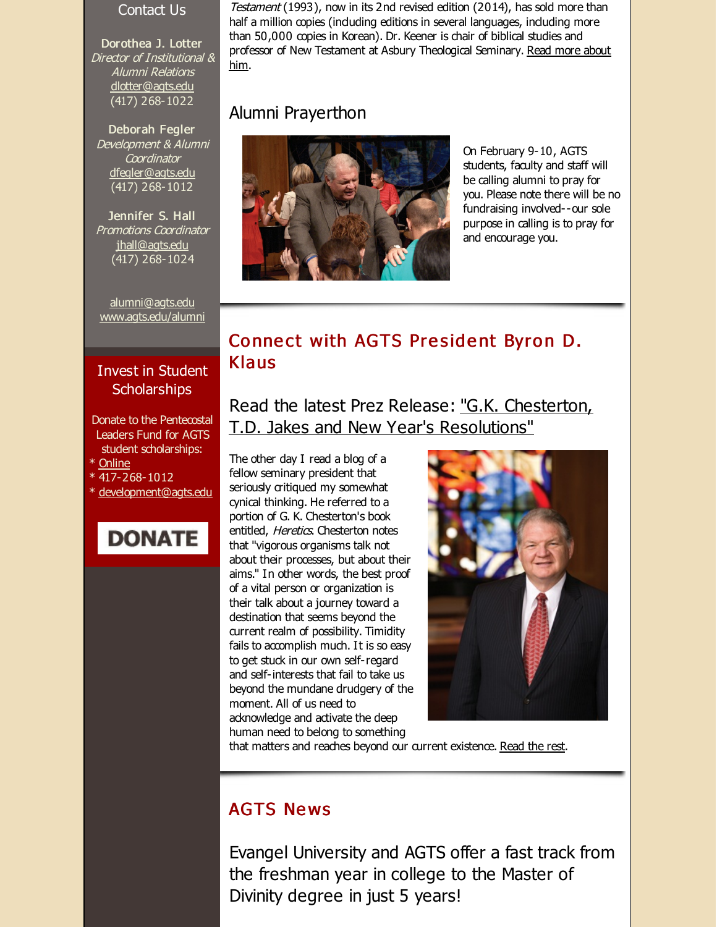#### Contact Us

Dorothea J. Lotter Director of Institutional & Alumni Relations [dlotter@agts.edu](mailto:dlotter@agts.edu) (417) 268-1022

Deborah Fegler Development & Alumni **Coordinator** [dfegler@agts.edu](mailto:dfegler@agts.edu) (417) 268-1012

Jennifer S. Hall Promotions Coordinator [jhall@agts.edu](mailto:jhall@agts.edu) (417) 268-1024

[alumni@agts.edu](mailto:alumni@agts.edu) [www.agts.edu/alumni](http://r20.rs6.net/tn.jsp?f=001zazWM7RQlFbV10nQLsq7MOLGoLQ08WWsWNKaQxTaWP9rsExe4C2yGvAmvDfb9In8zEAGDIg6xiqWVSeEJmAHxxeczKV_RBEVD51fUyhs3-yogco3yulYzD-l-OZs5rnS3AcJm6N3-7c1uHFz5VAacEUEGJgA3z9QS4aCdKUzBGE-thhR97--IQ==&c=&ch=)

## Invest in Student **Scholarships**

- Donate to the Pentecostal Leaders Fund for AGTS student scholarships:
- \* [Online](http://r20.rs6.net/tn.jsp?f=001zazWM7RQlFbV10nQLsq7MOLGoLQ08WWsWNKaQxTaWP9rsExe4C2yGrBTZOMyGX1d8MaUyYeuyNhMuToM-PqF2gpMHKCWiQLNj5gD11T03GJg2Ch3XPb1RCQpjqaHCgmUEJ2MJjqK27myDdkCbAtxuJGHtq8otasbC8XGZNKVmM2Q94yjs13HLolXJk0SxyFpfVrBaqBEwYNIt67MGUd7Hw==&c=&ch=)
- \* 417-268-1012
- [development@agts.edu](mailto:development@agts.edu)



Testament (1993), now in its 2nd revised edition (2014), has sold more than half a million copies (induding editions in several languages, induding more than 50,000 copies in Korean). Dr. Keener is chair of biblical studies and professor of New Testament at Asbury [Theological](http://r20.rs6.net/tn.jsp?f=001zazWM7RQlFbV10nQLsq7MOLGoLQ08WWsWNKaQxTaWP9rsExe4C2yGuNIuM5MQrWQ5pMIIwGqG520TJI-GXXbLMulIojoGRlbRfQJS5oS8Pg_oGijzSxg72I0ng8CkHAv1prl20L0IBOeNT3vKP5KOXd-QptkgyH2j8oGc7n4BCwiJKIld3cFYRCuN5k8CVs5wlT2rzUgzgjyhhdPW-hPeQ==&c=&ch=) Seminary. Read more about him.

## Alumni Prayerthon



On February 9-10, AGTS students, faculty and staff will be calling alumni to pray for you. Please note there will be no fundraising involved--our sole purpose in calling is to pray for and encourage you.

## Connect with AGTS President Byron D. Klaus

Read the latest Prez Release: "G.K. Chesterton, T.D. Jakes and New Year's [Resolutions"](http://r20.rs6.net/tn.jsp?f=001zazWM7RQlFbV10nQLsq7MOLGoLQ08WWsWNKaQxTaWP9rsExe4C2yGuNIuM5MQrWQJu4gsJrlny1PvJ0UDTrxgh8_eNGTQl_kIv4l9hhEVDYOhJ1pMRD9nU8CzrT7yKTErUnvTStQo5FLkJtTQ-NkkKk1MAMA4DpLNYrmfUA33q0=&c=&ch=)

The other day I read a blog of a fellow seminary president that seriously critiqued my somewhat cynical thinking. He referred to a portion of G. K. Chesterton's book entitled, Heretics. Chesterton notes that "vigorous organisms talk not about their processes, but about their aims." In other words, the best proof of a vital person or organization is their talk about a journey toward a destination that seems beyond the current realm of possibility. Timidity fails to accomplish much. It is so easy to get stuck in our own self-regard and self-interests that fail to take us beyond the mundane drudgery of the moment. All of us need to acknowledge and activate the deep human need to belong to something



that matters and reaches beyond our current existence. [Read](http://r20.rs6.net/tn.jsp?f=001zazWM7RQlFbV10nQLsq7MOLGoLQ08WWsWNKaQxTaWP9rsExe4C2yGuNIuM5MQrWQJu4gsJrlny1PvJ0UDTrxgh8_eNGTQl_kIv4l9hhEVDYOhJ1pMRD9nU8CzrT7yKTErUnvTStQo5FLkJtTQ-NkkKk1MAMA4DpLNYrmfUA33q0=&c=&ch=) the rest.

## **AGTS News**

Evangel University and AGTS offer a fast track from the freshman year in college to the Master of Divinity degree in just 5 years!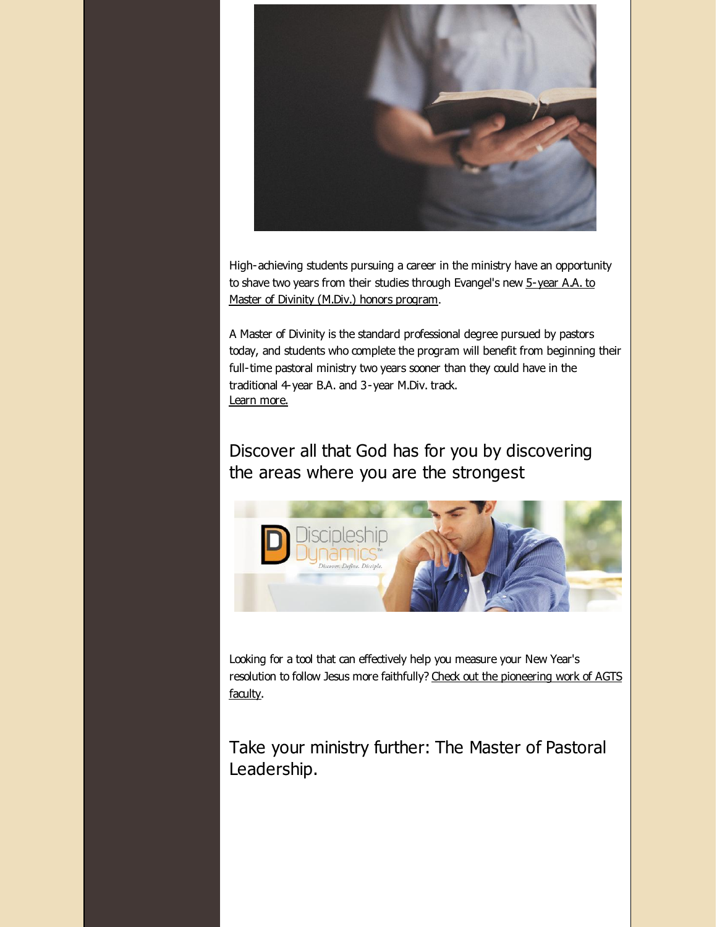

High-achieving students pursuing a career in the ministry have an opportunity to shave two years from their studies through [Evangel's](http://r20.rs6.net/tn.jsp?f=001zazWM7RQlFbV10nQLsq7MOLGoLQ08WWsWNKaQxTaWP9rsExe4C2yGuNIuM5MQrWQTRnhNsIUaJJKHEVXmY9-XePherqUMzftlGtaxTyn3EahfeUHTgyJrP5FGUWVA1uK_cA3Iex_agA1bbLg6HhrSWPufBU3Z44cUBSav46WkH4XhSeHEmYAMMjylycL5qG426GS6V0dustjplZjZCg001fGwlm8GU2u&c=&ch=) new 5-year A.A. to Master of Divinity (M.Div.) honors program.

A Master of Divinity is the standard professional degree pursued by pastors today, and students who complete the program will benefit from beginning their full-time pastoral ministry two years sooner than they could have in the traditional 4-year B.A. and 3-year M.Div. track. Learn [more.](http://r20.rs6.net/tn.jsp?f=001zazWM7RQlFbV10nQLsq7MOLGoLQ08WWsWNKaQxTaWP9rsExe4C2yGuNIuM5MQrWQTRnhNsIUaJJKHEVXmY9-XePherqUMzftlGtaxTyn3EahfeUHTgyJrP5FGUWVA1uK_cA3Iex_agA1bbLg6HhrSWPufBU3Z44cUBSav46WkH4XhSeHEmYAMMjylycL5qG426GS6V0dustjplZjZCg001fGwlm8GU2u&c=&ch=)

Discover all that God has for you by discovering the areas where you are the strongest



Looking for a tool that can effectively help you measure your New Year's resolution to follow Jesus more faithfully? Check out the [pioneering](http://r20.rs6.net/tn.jsp?f=001zazWM7RQlFbV10nQLsq7MOLGoLQ08WWsWNKaQxTaWP9rsExe4C2yGqR5MOo63lUBgYppaJo3zvk9p1dNIck0oZi1TtGRPpdsS_TTgof3mIpjQW4w7NmFBqxYsRjuSkNBipqslUCfKo2W3KzDJJpRLKzqAeojnKwTUnqGmJPlbtKw9vFmoJqywA==&c=&ch=) work of AGTS faculty.

Take your ministry further: The Master of Pastoral Leadership.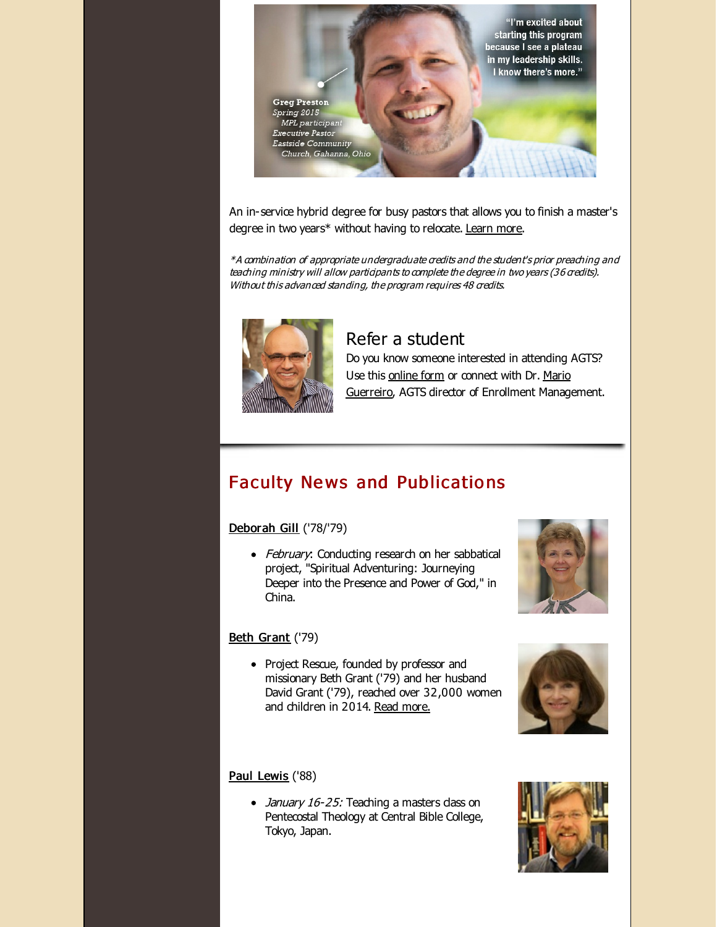

An in-service hybrid degree for busy pastors that allows you to finish a master's degree in two years\* without having to relocate. [Learn](http://r20.rs6.net/tn.jsp?f=001zazWM7RQlFbV10nQLsq7MOLGoLQ08WWsWNKaQxTaWP9rsExe4C2yGuNIuM5MQrWQJ2JcMyCrRYOwjJk8yY_MQGsvyzV_MPoysfq5awsoSms18OKOQsIb9IG5Q6gVlkXfCvfn9JtcCoXesvWmwnlmLABz8KAJE3l_zfC74QZToW29wY60LAI18y-HsZ0eXGkoxNGclTSnEHHK-okep_sBuQ==&c=&ch=) more.

\*A combination of appropriate undergraduate credits and the student's prior preaching and teaching ministry will allow participants to complete the degree in two years (36 credits). Without this advanced standing, the program requires 48 credits.



## Refer a student

Do you know someone interested in attending AGTS? Use this [online](http://r20.rs6.net/tn.jsp?f=001zazWM7RQlFbV10nQLsq7MOLGoLQ08WWsWNKaQxTaWP9rsExe4C2yGrw9iTa0encUOAwHj0cy-UZHcOe2IPr_rJzcuSVIjbi2pSiK6psSpMjzPzUZK11XrGY3WZZ2V18wHHk7gf0dmvWzBIppn569J7ATk_I80sGX1z1lZIXv0Puz7wRq0Bte9jQ3df2VXCPq&c=&ch=) form or connect with Dr. Mario Guerreiro, AGTS director of [Enrollment](http://r20.rs6.net/tn.jsp?f=001zazWM7RQlFbV10nQLsq7MOLGoLQ08WWsWNKaQxTaWP9rsExe4C2yGrw9iTa0encUWtXLghd-h3YXkxHv_VbuuMAIPcmLjJhtcr66QKEi-pnDPJSPHwndStN_EIwABefvFEwqrhRYXeJulPPYrM0Au5cPGNz4oJfrdbjJYMaYP-osiEnH7rP4VvzhJje_r7NprclIwcxC84s=&c=&ch=) Management.

# Faculty News and Publications

#### [Deborah](http://r20.rs6.net/tn.jsp?f=001zazWM7RQlFbV10nQLsq7MOLGoLQ08WWsWNKaQxTaWP9rsExe4C2yGpdSiHISd_Cka-at6o-AL4XHzb6mRx49_hv39OzAHuxABMXjKXds4kOU-NuTGIQg6N3sN4A5WpSbGp4P3aj-35kGg6NAvODwFddZ8wgvOYWStlmgv3zvF1oiSY-in3gxFGEhI82ZlvkM&c=&ch=) Gill ('78/'79)

• February: Conducting research on her sabbatical project, "Spiritual Adventuring: Journeying Deeper into the Presence and Power of God," in China.

## Beth [Grant](http://r20.rs6.net/tn.jsp?f=001zazWM7RQlFbV10nQLsq7MOLGoLQ08WWsWNKaQxTaWP9rsExe4C2yGrGrGLXGGirJ_qfZjQk4GbuHL2GoXsIyXab3S0y6Y3nvDS175RieHWh9_aQ4H-sny1M9G96L0kCPjXoVKU3Q1ASf8xSebzWh2PC8-r4d_kRXV-4IOZHvQseLUYppC-xbdBQP18BzyOPV&c=&ch=) ('79)

• Project Rescue, founded by professor and missionary Beth Grant ('79) and her husband David Grant ('79), reached over 32,000 women and children in 2014. Read [more.](http://r20.rs6.net/tn.jsp?f=001zazWM7RQlFbV10nQLsq7MOLGoLQ08WWsWNKaQxTaWP9rsExe4C2yGuNIuM5MQrWQq1xEL10eDxwJNkx-QsvFp43Kc4U6Bo5TlH8mRXzQuAXfet7O9v5iReFOVaVxADTD3cMBxNdZMiLQFRfBlSX1U8F-dP5ittho7Lpt-AFkQ41PJ-SQrwucKtjUoP6o1KIaF_CxEOt8Wn7t_Kl_mCa46RJmXkIb6pp5JpgGj7UVGssYjblcJnZyBVAAx5njDWIhd8hNRGh6YiA=&c=&ch=)

#### Paul [Lewis](http://r20.rs6.net/tn.jsp?f=001zazWM7RQlFbV10nQLsq7MOLGoLQ08WWsWNKaQxTaWP9rsExe4C2yGox3m1BhBjDACzbCDXDDa0n97MpxiuwFLbKOfu_g6nhEQhbg9FQi4ihnLan5tXN_Tp1P4YExrcUS_c-7Edzcm6XyPA-Qnf0xt6mtI-fFiBwSvXCo5HrnbLnAV03GzvuGAiKEkQoWqOJe&c=&ch=) ('88)

• *January 16-25:* Teaching a masters dass on Pentecostal Theology at Central Bible College, Tokyo, Japan.





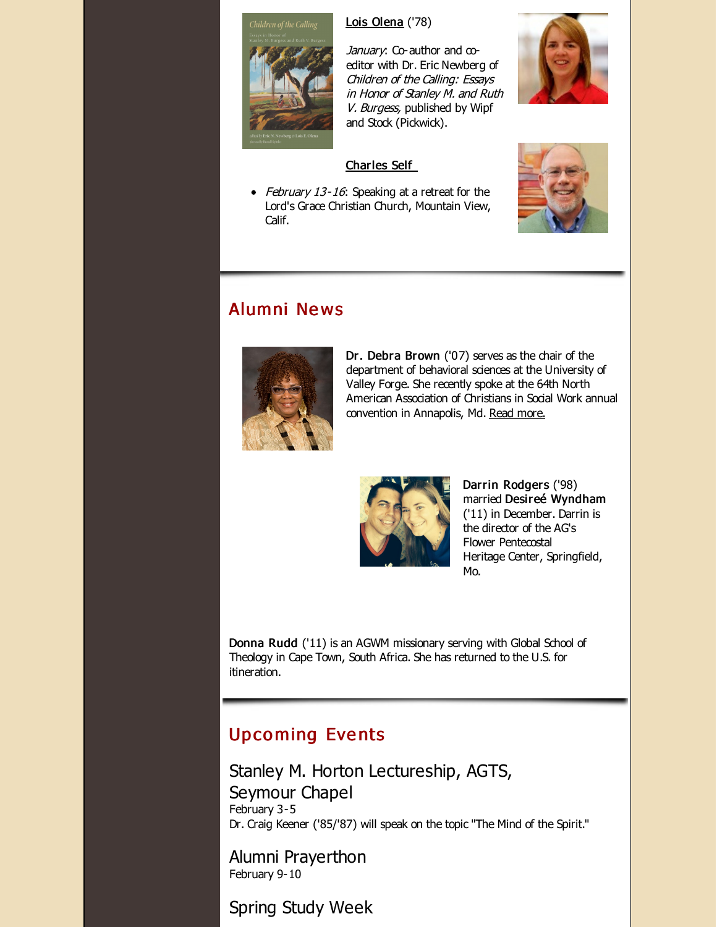

Lois [Olena](http://r20.rs6.net/tn.jsp?f=001zazWM7RQlFbV10nQLsq7MOLGoLQ08WWsWNKaQxTaWP9rsExe4C2yGjG2Jxcdjh0phDTwxk8WMRT1a12PhgmowqaoTL1zNCmyQnJRkDdb0xgRUzwnLf6k9RwBU73C8e9PGiGiRJmTRziqcqqXte73_aOK7TTTWzvTHXPVwWIRNU3dDVqiAUD9T6MfOEzTXBXr&c=&ch=) ('78)



January: Co-author and coeditor with Dr. Eric Newberg of Children of the Calling: Essays in Honor of Stanley M. and Ruth V. Burgess, published by Wipf and Stock (Pickwick).

#### [Charles](http://r20.rs6.net/tn.jsp?f=001zazWM7RQlFbV10nQLsq7MOLGoLQ08WWsWNKaQxTaWP9rsExe4C2yGrwsjVl0k6JbTo8nTJWtgkWq1JGQj7Pqaxk3KyOtQkQcZiSuVLoYL_9whuE_x_RnqeuhvJlPWFZWUCwYqfaM51vrHx8nFLZnz6hYCAmt0IM_868ctjGopSXpI5IYHU6f1cTT72cHj2ip&c=&ch=) Self

• February 13-16: Speaking at a retreat for the Lord's Grace Christian Church, Mountain View, Calif.



# Alumni Ne ws



Dr. Debra Brown ('07) serves as the chair of the department of behavioral sciences at the University of Valley Forge. She recently spoke at the 64th North American Association of Christians in Social Work annual convention in Annapolis, Md. Read [more.](http://r20.rs6.net/tn.jsp?f=001zazWM7RQlFbV10nQLsq7MOLGoLQ08WWsWNKaQxTaWP9rsExe4C2yGuNIuM5MQrWQiTE1m9xsshXbbmy5rcVSTxVCCI6WQ-5e0gkvBcPfwz-44SOfWodPOjiXSiX37WiY9D2Y1gf2yc55xVcxtfCn6cKTfA9qEN1wbkKuVy81HQS_-KYzVIk5RrC3WibSubgCg_AGg9R7ikTCv_DxOs5v9EENvADs4Gigl-a8QFz1LM_7Q9lMPZ0ZFsCqzpCc5MY2PuT5VPipYckHXDlMrXCKjkrQqt5sDurbLLeDiyHsSaGVD7bM-iEzH7m-ncuqiHMko7AcVAF282TXxaZNFBCS4Nfio4mf61eOBKf4eDUSfJF-U0kniRBkTslsBfviCizrwdigLP9dzdBGS_JsBTkZDshDFGPuLwaazU-vs1RDrD8=&c=&ch=)



Darrin Rodgers ('98) married Desireé Wyndham ('11) in December. Darrin is the director of the AG's Flower Pentecostal Heritage Center, Springfield, Mo.

Donna Rudd ('11) is an AGWM missionary serving with Global School of Theology in Cape Town, South Africa. She has returned to the U.S. for itineration.

# **Upcoming Events**

Stanley M. Horton Lectureship, AGTS, Seymour Chapel February 3-5 Dr. Craig Keener ('85/'87) will speak on the topic "The Mind of the Spirit."

Alumni Prayerthon February 9-10

Spring Study Week